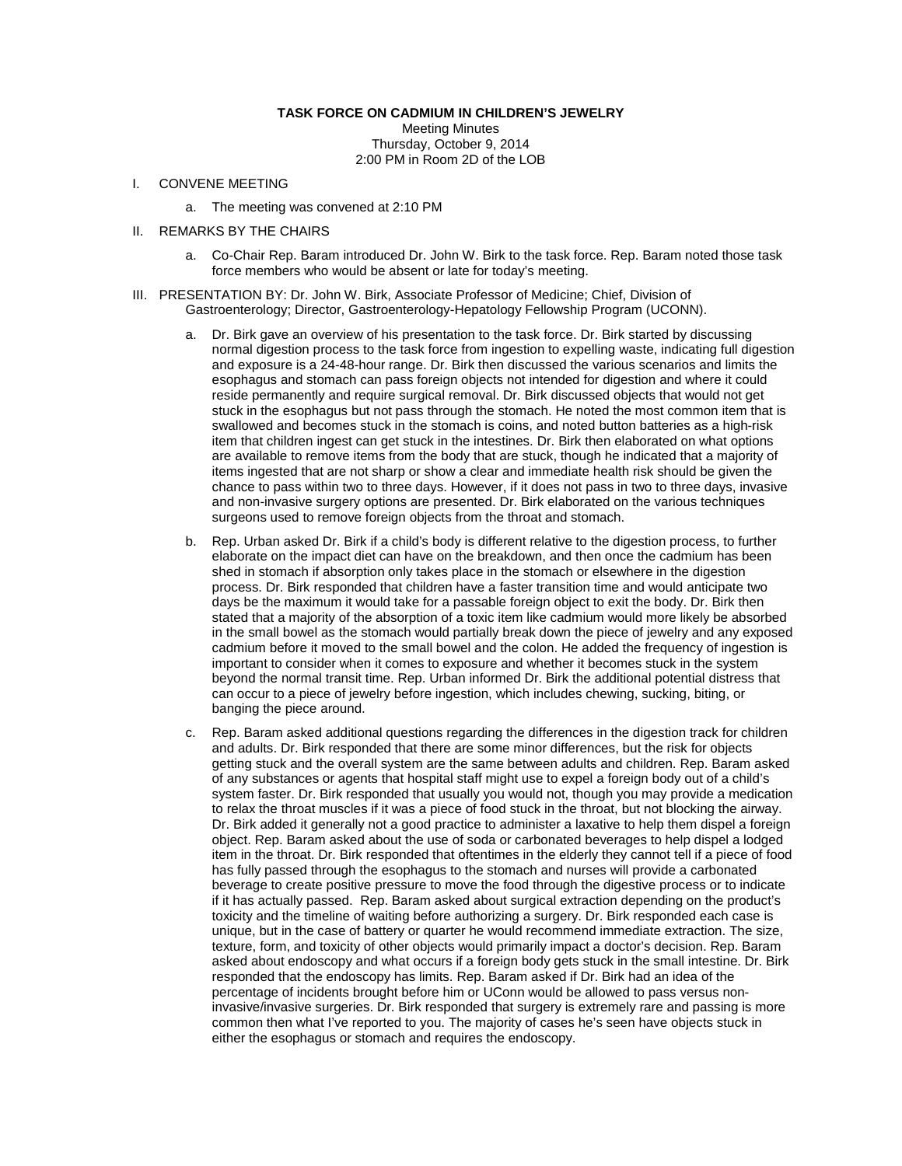## **TASK FORCE ON CADMIUM IN CHILDREN'S JEWELRY**

Meeting Minutes Thursday, October 9, 2014 2:00 PM in Room 2D of the LOB

## I. CONVENE MEETING

- a. The meeting was convened at 2:10 PM
- II. REMARKS BY THE CHAIRS
	- a. Co-Chair Rep. Baram introduced Dr. John W. Birk to the task force. Rep. Baram noted those task force members who would be absent or late for today's meeting.
- III. PRESENTATION BY: Dr. John W. Birk, Associate Professor of Medicine; Chief, Division of Gastroenterology; Director, Gastroenterology-Hepatology Fellowship Program (UCONN).
	- a. Dr. Birk gave an overview of his presentation to the task force. Dr. Birk started by discussing normal digestion process to the task force from ingestion to expelling waste, indicating full digestion and exposure is a 24-48-hour range. Dr. Birk then discussed the various scenarios and limits the esophagus and stomach can pass foreign objects not intended for digestion and where it could reside permanently and require surgical removal. Dr. Birk discussed objects that would not get stuck in the esophagus but not pass through the stomach. He noted the most common item that is swallowed and becomes stuck in the stomach is coins, and noted button batteries as a high-risk item that children ingest can get stuck in the intestines. Dr. Birk then elaborated on what options are available to remove items from the body that are stuck, though he indicated that a majority of items ingested that are not sharp or show a clear and immediate health risk should be given the chance to pass within two to three days. However, if it does not pass in two to three days, invasive and non-invasive surgery options are presented. Dr. Birk elaborated on the various techniques surgeons used to remove foreign objects from the throat and stomach.
	- b. Rep. Urban asked Dr. Birk if a child's body is different relative to the digestion process, to further elaborate on the impact diet can have on the breakdown, and then once the cadmium has been shed in stomach if absorption only takes place in the stomach or elsewhere in the digestion process. Dr. Birk responded that children have a faster transition time and would anticipate two days be the maximum it would take for a passable foreign object to exit the body. Dr. Birk then stated that a majority of the absorption of a toxic item like cadmium would more likely be absorbed in the small bowel as the stomach would partially break down the piece of jewelry and any exposed cadmium before it moved to the small bowel and the colon. He added the frequency of ingestion is important to consider when it comes to exposure and whether it becomes stuck in the system beyond the normal transit time. Rep. Urban informed Dr. Birk the additional potential distress that can occur to a piece of jewelry before ingestion, which includes chewing, sucking, biting, or banging the piece around.
	- c. Rep. Baram asked additional questions regarding the differences in the digestion track for children and adults. Dr. Birk responded that there are some minor differences, but the risk for objects getting stuck and the overall system are the same between adults and children. Rep. Baram asked of any substances or agents that hospital staff might use to expel a foreign body out of a child's system faster. Dr. Birk responded that usually you would not, though you may provide a medication to relax the throat muscles if it was a piece of food stuck in the throat, but not blocking the airway. Dr. Birk added it generally not a good practice to administer a laxative to help them dispel a foreign object. Rep. Baram asked about the use of soda or carbonated beverages to help dispel a lodged item in the throat. Dr. Birk responded that oftentimes in the elderly they cannot tell if a piece of food has fully passed through the esophagus to the stomach and nurses will provide a carbonated beverage to create positive pressure to move the food through the digestive process or to indicate if it has actually passed. Rep. Baram asked about surgical extraction depending on the product's toxicity and the timeline of waiting before authorizing a surgery. Dr. Birk responded each case is unique, but in the case of battery or quarter he would recommend immediate extraction. The size, texture, form, and toxicity of other objects would primarily impact a doctor's decision. Rep. Baram asked about endoscopy and what occurs if a foreign body gets stuck in the small intestine. Dr. Birk responded that the endoscopy has limits. Rep. Baram asked if Dr. Birk had an idea of the percentage of incidents brought before him or UConn would be allowed to pass versus noninvasive/invasive surgeries. Dr. Birk responded that surgery is extremely rare and passing is more common then what I've reported to you. The majority of cases he's seen have objects stuck in either the esophagus or stomach and requires the endoscopy.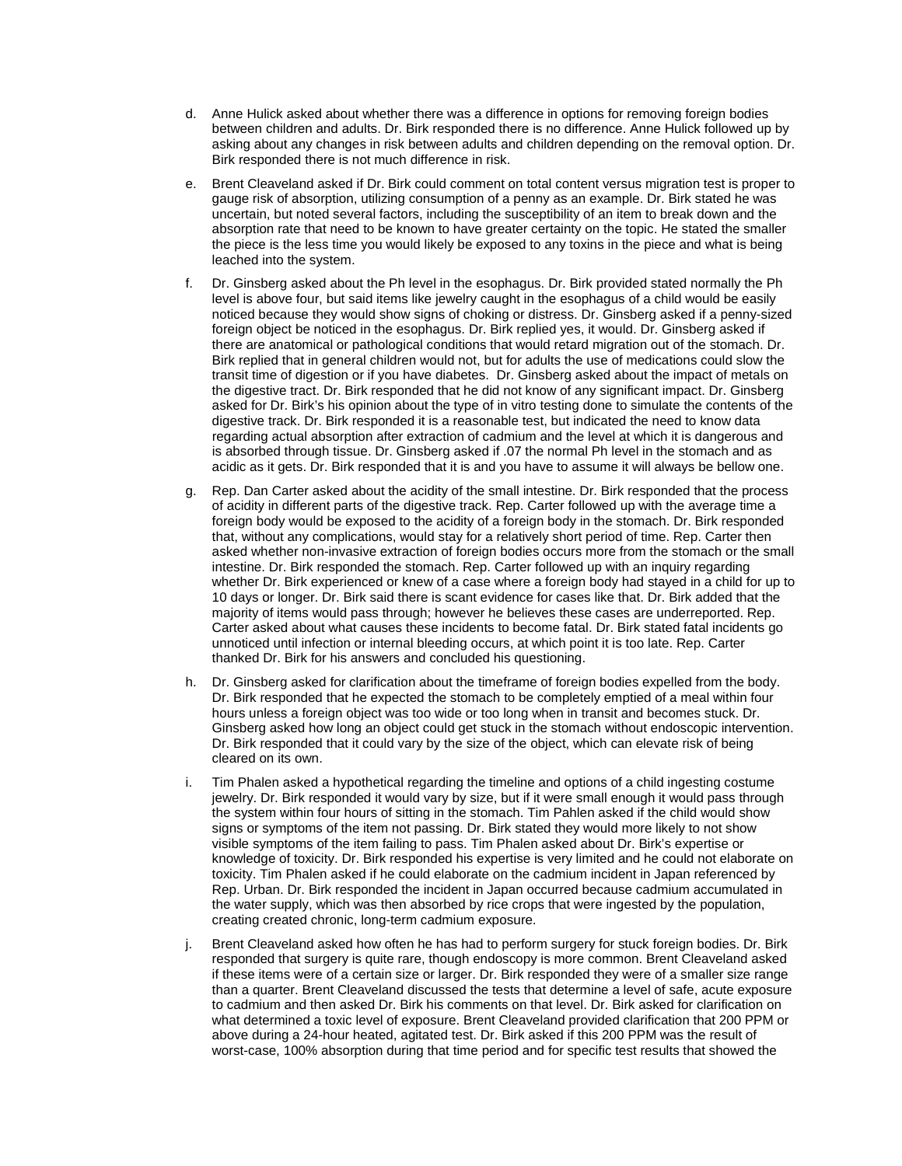- d. Anne Hulick asked about whether there was a difference in options for removing foreign bodies between children and adults. Dr. Birk responded there is no difference. Anne Hulick followed up by asking about any changes in risk between adults and children depending on the removal option. Dr. Birk responded there is not much difference in risk.
- e. Brent Cleaveland asked if Dr. Birk could comment on total content versus migration test is proper to gauge risk of absorption, utilizing consumption of a penny as an example. Dr. Birk stated he was uncertain, but noted several factors, including the susceptibility of an item to break down and the absorption rate that need to be known to have greater certainty on the topic. He stated the smaller the piece is the less time you would likely be exposed to any toxins in the piece and what is being leached into the system.
- f. Dr. Ginsberg asked about the Ph level in the esophagus. Dr. Birk provided stated normally the Ph level is above four, but said items like jewelry caught in the esophagus of a child would be easily noticed because they would show signs of choking or distress. Dr. Ginsberg asked if a penny-sized foreign object be noticed in the esophagus. Dr. Birk replied yes, it would. Dr. Ginsberg asked if there are anatomical or pathological conditions that would retard migration out of the stomach. Dr. Birk replied that in general children would not, but for adults the use of medications could slow the transit time of digestion or if you have diabetes. Dr. Ginsberg asked about the impact of metals on the digestive tract. Dr. Birk responded that he did not know of any significant impact. Dr. Ginsberg asked for Dr. Birk's his opinion about the type of in vitro testing done to simulate the contents of the digestive track. Dr. Birk responded it is a reasonable test, but indicated the need to know data regarding actual absorption after extraction of cadmium and the level at which it is dangerous and is absorbed through tissue. Dr. Ginsberg asked if .07 the normal Ph level in the stomach and as acidic as it gets. Dr. Birk responded that it is and you have to assume it will always be bellow one.
- g. Rep. Dan Carter asked about the acidity of the small intestine. Dr. Birk responded that the process of acidity in different parts of the digestive track. Rep. Carter followed up with the average time a foreign body would be exposed to the acidity of a foreign body in the stomach. Dr. Birk responded that, without any complications, would stay for a relatively short period of time. Rep. Carter then asked whether non-invasive extraction of foreign bodies occurs more from the stomach or the small intestine. Dr. Birk responded the stomach. Rep. Carter followed up with an inquiry regarding whether Dr. Birk experienced or knew of a case where a foreign body had stayed in a child for up to 10 days or longer. Dr. Birk said there is scant evidence for cases like that. Dr. Birk added that the majority of items would pass through; however he believes these cases are underreported. Rep. Carter asked about what causes these incidents to become fatal. Dr. Birk stated fatal incidents go unnoticed until infection or internal bleeding occurs, at which point it is too late. Rep. Carter thanked Dr. Birk for his answers and concluded his questioning.
- h. Dr. Ginsberg asked for clarification about the timeframe of foreign bodies expelled from the body. Dr. Birk responded that he expected the stomach to be completely emptied of a meal within four hours unless a foreign object was too wide or too long when in transit and becomes stuck. Dr. Ginsberg asked how long an object could get stuck in the stomach without endoscopic intervention. Dr. Birk responded that it could vary by the size of the object, which can elevate risk of being cleared on its own.
- i. Tim Phalen asked a hypothetical regarding the timeline and options of a child ingesting costume jewelry. Dr. Birk responded it would vary by size, but if it were small enough it would pass through the system within four hours of sitting in the stomach. Tim Pahlen asked if the child would show signs or symptoms of the item not passing. Dr. Birk stated they would more likely to not show visible symptoms of the item failing to pass. Tim Phalen asked about Dr. Birk's expertise or knowledge of toxicity. Dr. Birk responded his expertise is very limited and he could not elaborate on toxicity. Tim Phalen asked if he could elaborate on the cadmium incident in Japan referenced by Rep. Urban. Dr. Birk responded the incident in Japan occurred because cadmium accumulated in the water supply, which was then absorbed by rice crops that were ingested by the population, creating created chronic, long-term cadmium exposure.
- j. Brent Cleaveland asked how often he has had to perform surgery for stuck foreign bodies. Dr. Birk responded that surgery is quite rare, though endoscopy is more common. Brent Cleaveland asked if these items were of a certain size or larger. Dr. Birk responded they were of a smaller size range than a quarter. Brent Cleaveland discussed the tests that determine a level of safe, acute exposure to cadmium and then asked Dr. Birk his comments on that level. Dr. Birk asked for clarification on what determined a toxic level of exposure. Brent Cleaveland provided clarification that 200 PPM or above during a 24-hour heated, agitated test. Dr. Birk asked if this 200 PPM was the result of worst-case, 100% absorption during that time period and for specific test results that showed the